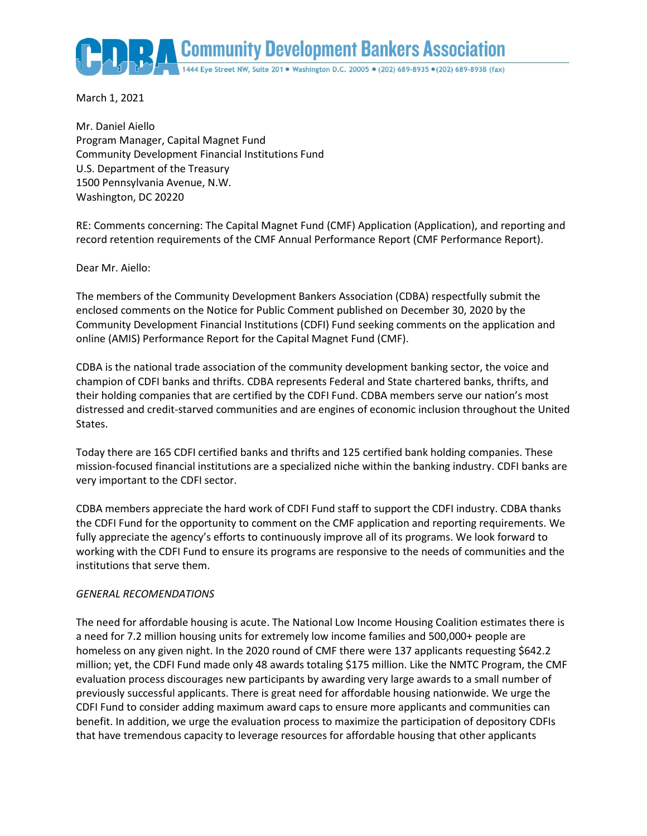**Community Development Bankers Association** 

March 1, 2021

Mr. Daniel Aiello Program Manager, Capital Magnet Fund Community Development Financial Institutions Fund U.S. Department of the Treasury 1500 Pennsylvania Avenue, N.W. Washington, DC 20220

RE: Comments concerning: The Capital Magnet Fund (CMF) Application (Application), and reporting and record retention requirements of the CMF Annual Performance Report (CMF Performance Report).

Dear Mr. Aiello:

The members of the Community Development Bankers Association (CDBA) respectfully submit the enclosed comments on the Notice for Public Comment published on December 30, 2020 by the Community Development Financial Institutions (CDFI) Fund seeking comments on the application and online (AMIS) Performance Report for the Capital Magnet Fund (CMF).

CDBA is the national trade association of the community development banking sector, the voice and champion of CDFI banks and thrifts. CDBA represents Federal and State chartered banks, thrifts, and their holding companies that are certified by the CDFI Fund. CDBA members serve our nation's most distressed and credit-starved communities and are engines of economic inclusion throughout the United States.

Today there are 165 CDFI certified banks and thrifts and 125 certified bank holding companies. These mission-focused financial institutions are a specialized niche within the banking industry. CDFI banks are very important to the CDFI sector.

CDBA members appreciate the hard work of CDFI Fund staff to support the CDFI industry. CDBA thanks the CDFI Fund for the opportunity to comment on the CMF application and reporting requirements. We fully appreciate the agency's efforts to continuously improve all of its programs. We look forward to working with the CDFI Fund to ensure its programs are responsive to the needs of communities and the institutions that serve them.

# *GENERAL RECOMENDATIONS*

The need for affordable housing is acute. The National Low Income Housing Coalition estimates there is a need for 7.2 million housing units for extremely low income families and 500,000+ people are homeless on any given night. In the 2020 round of CMF there were 137 applicants requesting \$642.2 million; yet, the CDFI Fund made only 48 awards totaling \$175 million. Like the NMTC Program, the CMF evaluation process discourages new participants by awarding very large awards to a small number of previously successful applicants. There is great need for affordable housing nationwide. We urge the CDFI Fund to consider adding maximum award caps to ensure more applicants and communities can benefit. In addition, we urge the evaluation process to maximize the participation of depository CDFIs that have tremendous capacity to leverage resources for affordable housing that other applicants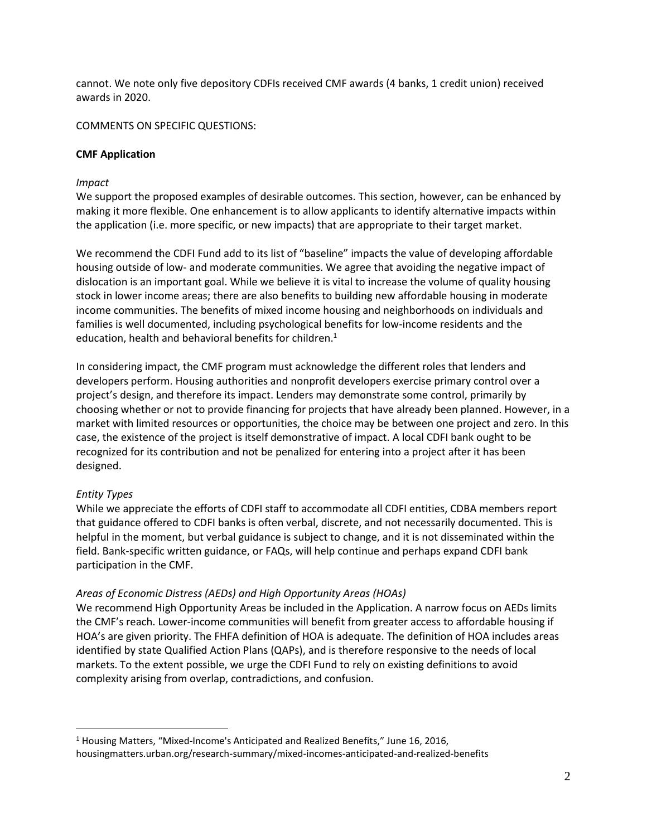cannot. We note only five depository CDFIs received CMF awards (4 banks, 1 credit union) received awards in 2020.

COMMENTS ON SPECIFIC QUESTIONS:

# **CMF Application**

# *Impact*

We support the proposed examples of desirable outcomes. This section, however, can be enhanced by making it more flexible. One enhancement is to allow applicants to identify alternative impacts within the application (i.e. more specific, or new impacts) that are appropriate to their target market.

We recommend the CDFI Fund add to its list of "baseline" impacts the value of developing affordable housing outside of low- and moderate communities. We agree that avoiding the negative impact of dislocation is an important goal. While we believe it is vital to increase the volume of quality housing stock in lower income areas; there are also benefits to building new affordable housing in moderate income communities. The benefits of mixed income housing and neighborhoods on individuals and families is well documented, including psychological benefits for low-income residents and the education, health and behavioral benefits for children.<sup>1</sup>

In considering impact, the CMF program must acknowledge the different roles that lenders and developers perform. Housing authorities and nonprofit developers exercise primary control over a project's design, and therefore its impact. Lenders may demonstrate some control, primarily by choosing whether or not to provide financing for projects that have already been planned. However, in a market with limited resources or opportunities, the choice may be between one project and zero. In this case, the existence of the project is itself demonstrative of impact. A local CDFI bank ought to be recognized for its contribution and not be penalized for entering into a project after it has been designed.

# *Entity Types*

 $\overline{a}$ 

While we appreciate the efforts of CDFI staff to accommodate all CDFI entities, CDBA members report that guidance offered to CDFI banks is often verbal, discrete, and not necessarily documented. This is helpful in the moment, but verbal guidance is subject to change, and it is not disseminated within the field. Bank-specific written guidance, or FAQs, will help continue and perhaps expand CDFI bank participation in the CMF.

# *Areas of Economic Distress (AEDs) and High Opportunity Areas (HOAs)*

We recommend High Opportunity Areas be included in the Application. A narrow focus on AEDs limits the CMF's reach. Lower-income communities will benefit from greater access to affordable housing if HOA's are given priority. The FHFA definition of HOA is adequate. The definition of HOA includes areas identified by state Qualified Action Plans (QAPs), and is therefore responsive to the needs of local markets. To the extent possible, we urge the CDFI Fund to rely on existing definitions to avoid complexity arising from overlap, contradictions, and confusion.

 $1$  Housing Matters, "Mixed-Income's Anticipated and Realized Benefits," June 16, 2016, housingmatters.urban.org/research-summary/mixed-incomes-anticipated-and-realized-benefits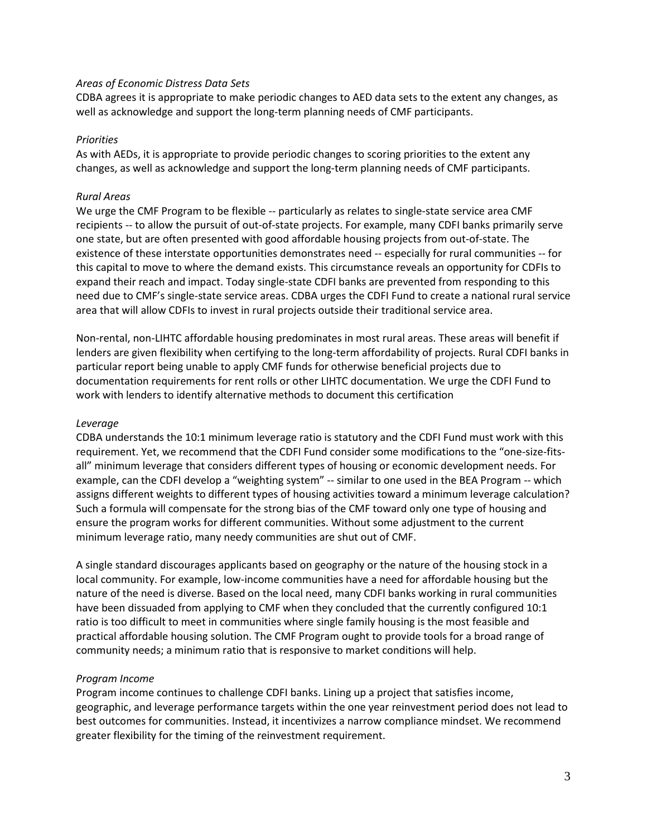### *Areas of Economic Distress Data Sets*

CDBA agrees it is appropriate to make periodic changes to AED data sets to the extent any changes, as well as acknowledge and support the long-term planning needs of CMF participants.

#### *Priorities*

As with AEDs, it is appropriate to provide periodic changes to scoring priorities to the extent any changes, as well as acknowledge and support the long-term planning needs of CMF participants.

### *Rural Areas*

We urge the CMF Program to be flexible -- particularly as relates to single-state service area CMF recipients -- to allow the pursuit of out-of-state projects. For example, many CDFI banks primarily serve one state, but are often presented with good affordable housing projects from out-of-state. The existence of these interstate opportunities demonstrates need -- especially for rural communities -- for this capital to move to where the demand exists. This circumstance reveals an opportunity for CDFIs to expand their reach and impact. Today single-state CDFI banks are prevented from responding to this need due to CMF's single-state service areas. CDBA urges the CDFI Fund to create a national rural service area that will allow CDFIs to invest in rural projects outside their traditional service area.

Non-rental, non-LIHTC affordable housing predominates in most rural areas. These areas will benefit if lenders are given flexibility when certifying to the long-term affordability of projects. Rural CDFI banks in particular report being unable to apply CMF funds for otherwise beneficial projects due to documentation requirements for rent rolls or other LIHTC documentation. We urge the CDFI Fund to work with lenders to identify alternative methods to document this certification

#### *Leverage*

CDBA understands the 10:1 minimum leverage ratio is statutory and the CDFI Fund must work with this requirement. Yet, we recommend that the CDFI Fund consider some modifications to the "one-size-fitsall" minimum leverage that considers different types of housing or economic development needs. For example, can the CDFI develop a "weighting system" -- similar to one used in the BEA Program -- which assigns different weights to different types of housing activities toward a minimum leverage calculation? Such a formula will compensate for the strong bias of the CMF toward only one type of housing and ensure the program works for different communities. Without some adjustment to the current minimum leverage ratio, many needy communities are shut out of CMF.

A single standard discourages applicants based on geography or the nature of the housing stock in a local community. For example, low-income communities have a need for affordable housing but the nature of the need is diverse. Based on the local need, many CDFI banks working in rural communities have been dissuaded from applying to CMF when they concluded that the currently configured 10:1 ratio is too difficult to meet in communities where single family housing is the most feasible and practical affordable housing solution. The CMF Program ought to provide tools for a broad range of community needs; a minimum ratio that is responsive to market conditions will help.

# *Program Income*

Program income continues to challenge CDFI banks. Lining up a project that satisfies income, geographic, and leverage performance targets within the one year reinvestment period does not lead to best outcomes for communities. Instead, it incentivizes a narrow compliance mindset. We recommend greater flexibility for the timing of the reinvestment requirement.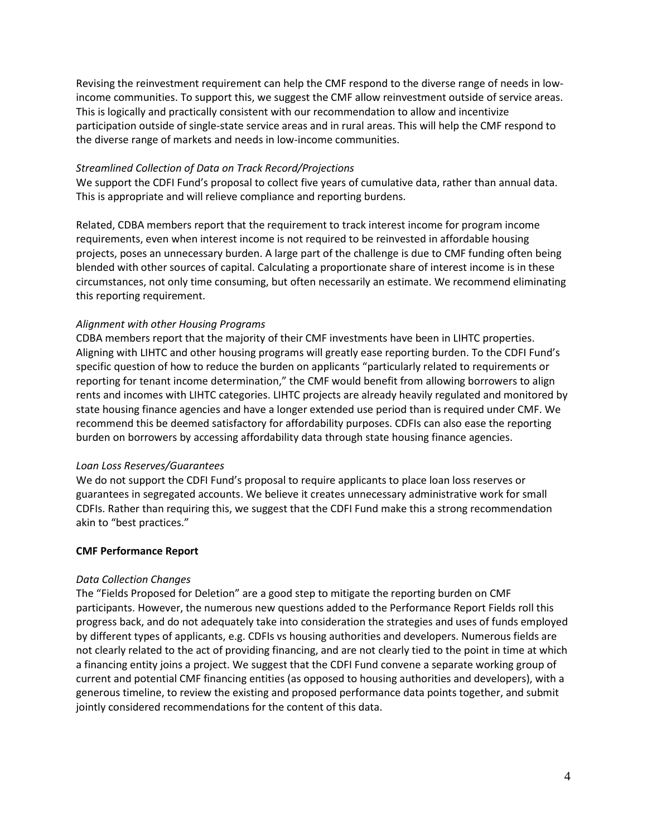Revising the reinvestment requirement can help the CMF respond to the diverse range of needs in lowincome communities. To support this, we suggest the CMF allow reinvestment outside of service areas. This is logically and practically consistent with our recommendation to allow and incentivize participation outside of single-state service areas and in rural areas. This will help the CMF respond to the diverse range of markets and needs in low-income communities.

### *Streamlined Collection of Data on Track Record/Projections*

We support the CDFI Fund's proposal to collect five years of cumulative data, rather than annual data. This is appropriate and will relieve compliance and reporting burdens.

Related, CDBA members report that the requirement to track interest income for program income requirements, even when interest income is not required to be reinvested in affordable housing projects, poses an unnecessary burden. A large part of the challenge is due to CMF funding often being blended with other sources of capital. Calculating a proportionate share of interest income is in these circumstances, not only time consuming, but often necessarily an estimate. We recommend eliminating this reporting requirement.

# *Alignment with other Housing Programs*

CDBA members report that the majority of their CMF investments have been in LIHTC properties. Aligning with LIHTC and other housing programs will greatly ease reporting burden. To the CDFI Fund's specific question of how to reduce the burden on applicants "particularly related to requirements or reporting for tenant income determination," the CMF would benefit from allowing borrowers to align rents and incomes with LIHTC categories. LIHTC projects are already heavily regulated and monitored by state housing finance agencies and have a longer extended use period than is required under CMF. We recommend this be deemed satisfactory for affordability purposes. CDFIs can also ease the reporting burden on borrowers by accessing affordability data through state housing finance agencies.

# *Loan Loss Reserves/Guarantees*

We do not support the CDFI Fund's proposal to require applicants to place loan loss reserves or guarantees in segregated accounts. We believe it creates unnecessary administrative work for small CDFIs. Rather than requiring this, we suggest that the CDFI Fund make this a strong recommendation akin to "best practices."

# **CMF Performance Report**

#### *Data Collection Changes*

The "Fields Proposed for Deletion" are a good step to mitigate the reporting burden on CMF participants. However, the numerous new questions added to the Performance Report Fields roll this progress back, and do not adequately take into consideration the strategies and uses of funds employed by different types of applicants, e.g. CDFIs vs housing authorities and developers. Numerous fields are not clearly related to the act of providing financing, and are not clearly tied to the point in time at which a financing entity joins a project. We suggest that the CDFI Fund convene a separate working group of current and potential CMF financing entities (as opposed to housing authorities and developers), with a generous timeline, to review the existing and proposed performance data points together, and submit jointly considered recommendations for the content of this data.